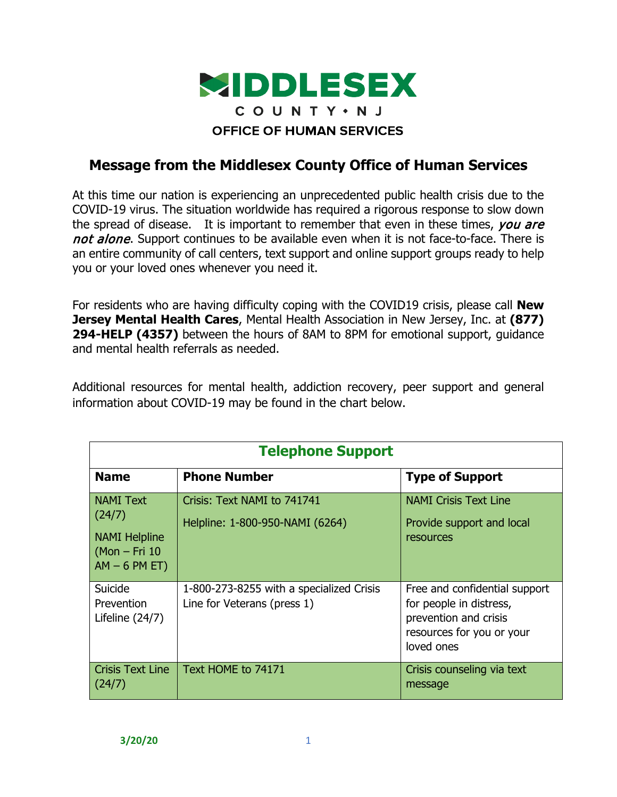

## **Message from the Middlesex County Office of Human Services**

At this time our nation is experiencing an unprecedented public health crisis due to the COVID-19 virus. The situation worldwide has required a rigorous response to slow down the spread of disease. It is important to remember that even in these times, you are not alone. Support continues to be available even when it is not face-to-face. There is an entire community of call centers, text support and online support groups ready to help you or your loved ones whenever you need it.

For residents who are having difficulty coping with the COVID19 crisis, please call **New Jersey Mental Health Cares**, Mental Health Association in New Jersey, Inc. at **(877) 294-HELP (4357)** between the hours of 8AM to 8PM for emotional support, guidance and mental health referrals as needed.

Additional resources for mental health, addiction recovery, peer support and general information about COVID-19 may be found in the chart below.

| <b>Telephone Support</b>                                                                |                                                                         |                                                                                                                              |  |  |
|-----------------------------------------------------------------------------------------|-------------------------------------------------------------------------|------------------------------------------------------------------------------------------------------------------------------|--|--|
| <b>Name</b>                                                                             | <b>Phone Number</b>                                                     | <b>Type of Support</b>                                                                                                       |  |  |
| <b>NAMI Text</b><br>(24/7)<br><b>NAMI Helpline</b><br>$(Mon-Fri 10)$<br>$AM - 6 PM ET)$ | Crisis: Text NAMI to 741741<br>Helpline: 1-800-950-NAMI (6264)          | <b>NAMI Crisis Text Line</b><br>Provide support and local<br>resources                                                       |  |  |
| Suicide<br>Prevention<br>Lifeline $(24/7)$                                              | 1-800-273-8255 with a specialized Crisis<br>Line for Veterans (press 1) | Free and confidential support<br>for people in distress,<br>prevention and crisis<br>resources for you or your<br>loved ones |  |  |
| <b>Crisis Text Line</b><br>(24/7)                                                       | Text HOME to 74171                                                      | Crisis counseling via text<br>message                                                                                        |  |  |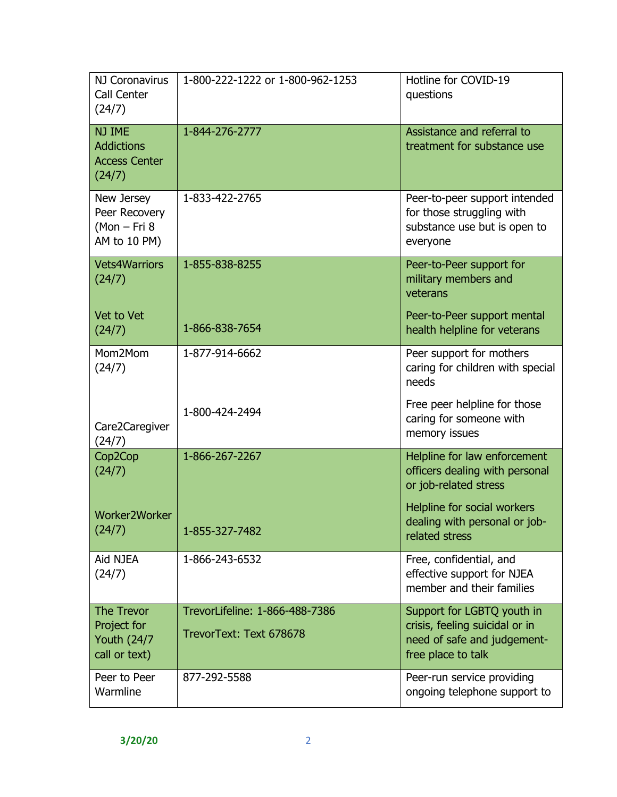| NJ Coronavirus<br>Call Center<br>(24/7)                                  | 1-800-222-1222 or 1-800-962-1253                          | Hotline for COVID-19<br>questions                                                                                 |
|--------------------------------------------------------------------------|-----------------------------------------------------------|-------------------------------------------------------------------------------------------------------------------|
| NJ IME<br><b>Addictions</b><br><b>Access Center</b><br>(24/7)            | 1-844-276-2777                                            | Assistance and referral to<br>treatment for substance use                                                         |
| New Jersey<br>Peer Recovery<br>$(Mon-Fri8)$<br>AM to 10 PM)              | 1-833-422-2765                                            | Peer-to-peer support intended<br>for those struggling with<br>substance use but is open to<br>everyone            |
| <b>Vets4Warriors</b><br>(24/7)                                           | 1-855-838-8255                                            | Peer-to-Peer support for<br>military members and<br>veterans                                                      |
| Vet to Vet<br>(24/7)                                                     | 1-866-838-7654                                            | Peer-to-Peer support mental<br>health helpline for veterans                                                       |
| Mom2Mom<br>(24/7)                                                        | 1-877-914-6662                                            | Peer support for mothers<br>caring for children with special<br>needs                                             |
| Care2Caregiver<br>(24/7)                                                 | 1-800-424-2494                                            | Free peer helpline for those<br>caring for someone with<br>memory issues                                          |
| Cop2Cop<br>(24/7)                                                        | 1-866-267-2267                                            | Helpline for law enforcement<br>officers dealing with personal<br>or job-related stress                           |
| Worker2Worker<br>(24/7)                                                  | 1-855-327-7482                                            | Helpline for social workers<br>dealing with personal or job-<br>related stress                                    |
| Aid NJEA<br>(24/7)                                                       | 1-866-243-6532                                            | Free, confidential, and<br>effective support for NJEA<br>member and their families                                |
| <b>The Trevor</b><br>Project for<br><b>Youth (24/7)</b><br>call or text) | TrevorLifeline: 1-866-488-7386<br>TrevorText: Text 678678 | Support for LGBTQ youth in<br>crisis, feeling suicidal or in<br>need of safe and judgement-<br>free place to talk |
| Peer to Peer<br>Warmline                                                 | 877-292-5588                                              | Peer-run service providing<br>ongoing telephone support to                                                        |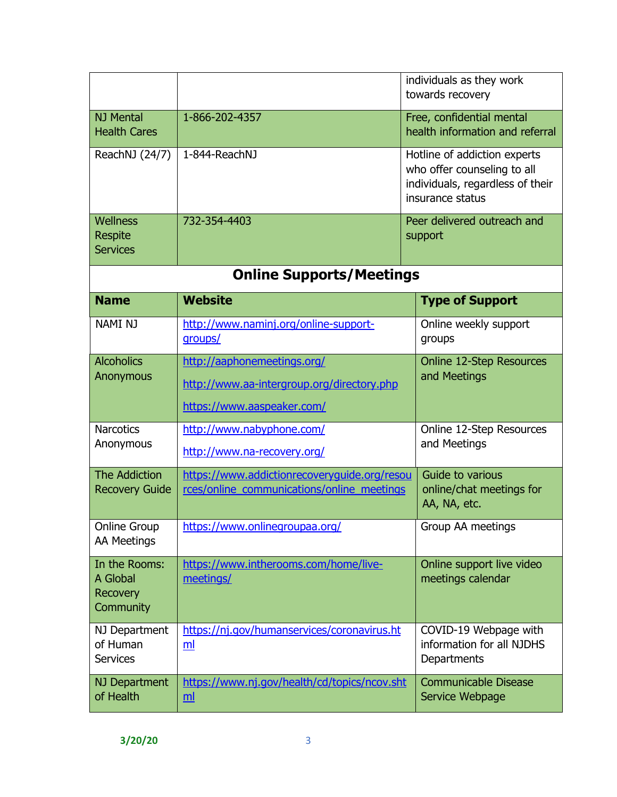|                                                           |                                                                                                         | individuals as they work<br>towards recovery                                                                        |  |
|-----------------------------------------------------------|---------------------------------------------------------------------------------------------------------|---------------------------------------------------------------------------------------------------------------------|--|
| <b>NJ Mental</b><br><b>Health Cares</b>                   | 1-866-202-4357                                                                                          | Free, confidential mental<br>health information and referral                                                        |  |
| ReachNJ (24/7)                                            | 1-844-ReachNJ                                                                                           | Hotline of addiction experts<br>who offer counseling to all<br>individuals, regardless of their<br>insurance status |  |
| Wellness<br><b>Respite</b><br><b>Services</b>             | 732-354-4403                                                                                            | Peer delivered outreach and<br>support                                                                              |  |
|                                                           | <b>Online Supports/Meetings</b>                                                                         |                                                                                                                     |  |
| <b>Name</b>                                               | <b>Website</b>                                                                                          | <b>Type of Support</b>                                                                                              |  |
| <b>NAMI NJ</b>                                            | http://www.naminj.org/online-support-<br>groups/                                                        | Online weekly support<br>groups                                                                                     |  |
| <b>Alcoholics</b><br>Anonymous                            | http://aaphonemeetings.org/<br>http://www.aa-intergroup.org/directory.php<br>https://www.aaspeaker.com/ | <b>Online 12-Step Resources</b><br>and Meetings                                                                     |  |
| <b>Narcotics</b><br>Anonymous                             | http://www.nabyphone.com/<br>http://www.na-recovery.org/                                                | Online 12-Step Resources<br>and Meetings                                                                            |  |
| <b>The Addiction</b><br><b>Recovery Guide</b>             | https://www.addictionrecoveryquide.org/resou<br>rces/online_communications/online_meetings              | Guide to various<br>online/chat meetings for<br>AA, NA, etc.                                                        |  |
| <b>Online Group</b><br><b>AA Meetings</b>                 | https://www.onlinegroupaa.org/                                                                          | Group AA meetings                                                                                                   |  |
| In the Rooms:<br>A Global<br><b>Recovery</b><br>Community | https://www.intherooms.com/home/live-<br>meetings/                                                      | Online support live video<br>meetings calendar                                                                      |  |
| NJ Department<br>of Human<br><b>Services</b>              | https://nj.gov/humanservices/coronavirus.ht<br>ml                                                       | COVID-19 Webpage with<br>information for all NJDHS<br>Departments                                                   |  |
| NJ Department<br>of Health                                | https://www.nj.gov/health/cd/topics/ncov.sht<br>$\underline{\mathsf{m}}$                                | <b>Communicable Disease</b><br>Service Webpage                                                                      |  |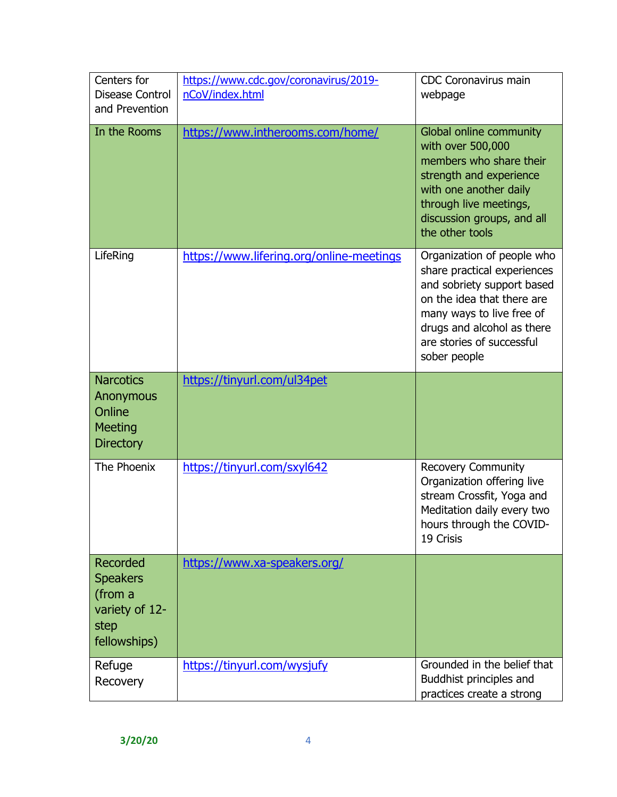| Centers for<br>Disease Control<br>and Prevention                                 | https://www.cdc.gov/coronavirus/2019-<br>nCoV/index.html | <b>CDC Coronavirus main</b><br>webpage                                                                                                                                                                                        |
|----------------------------------------------------------------------------------|----------------------------------------------------------|-------------------------------------------------------------------------------------------------------------------------------------------------------------------------------------------------------------------------------|
| In the Rooms                                                                     | https://www.intherooms.com/home/                         | Global online community<br>with over 500,000<br>members who share their<br>strength and experience<br>with one another daily<br>through live meetings,<br>discussion groups, and all<br>the other tools                       |
| LifeRing                                                                         | https://www.lifering.org/online-meetings                 | Organization of people who<br>share practical experiences<br>and sobriety support based<br>on the idea that there are<br>many ways to live free of<br>drugs and alcohol as there<br>are stories of successful<br>sober people |
| <b>Narcotics</b><br>Anonymous<br>Online<br><b>Meeting</b><br><b>Directory</b>    | https://tinyurl.com/ul34pet                              |                                                                                                                                                                                                                               |
| The Phoenix                                                                      | https://tinyurl.com/sxyl642                              | <b>Recovery Community</b><br>Organization offering live<br>stream Crossfit, Yoga and<br>Meditation daily every two<br>hours through the COVID-<br>19 Crisis                                                                   |
| Recorded<br><b>Speakers</b><br>(from a<br>variety of 12-<br>step<br>fellowships) | https://www.xa-speakers.org/                             |                                                                                                                                                                                                                               |
| Refuge<br>Recovery                                                               | https://tinyurl.com/wysjufy                              | Grounded in the belief that<br>Buddhist principles and<br>practices create a strong                                                                                                                                           |